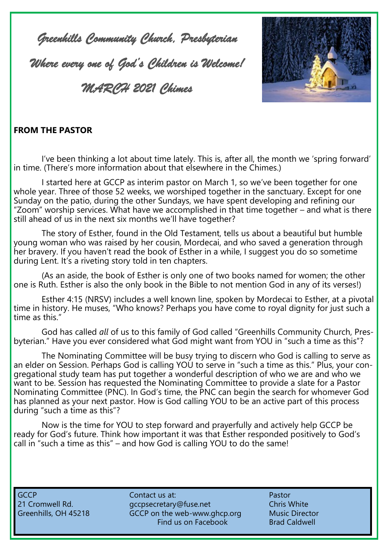*Greenhills Community Church, Presbyterian* 

*Where every one of God's Children is Welcome!* 

*MARCH 2021 Chimes* 



#### **FROM THE PASTOR**

I've been thinking a lot about time lately. This is, after all, the month we 'spring forward' in time. (There's more information about that elsewhere in the Chimes.)

I started here at GCCP as interim pastor on March 1, so we've been together for one whole year. Three of those 52 weeks, we worshiped together in the sanctuary. Except for one Sunday on the patio, during the other Sundays, we have spent developing and refining our "Zoom" worship services. What have we accomplished in that time together – and what is there still ahead of us in the next six months we'll have together?

The story of Esther, found in the Old Testament, tells us about a beautiful but humble young woman who was raised by her cousin, Mordecai, and who saved a generation through her bravery. If you haven't read the book of Esther in a while, I suggest you do so sometime during Lent. It's a riveting story told in ten chapters.

(As an aside, the book of Esther is only one of two books named for women; the other one is Ruth. Esther is also the only book in the Bible to not mention God in any of its verses!)

Esther 4:15 (NRSV) includes a well known line, spoken by Mordecai to Esther, at a pivotal time in history. He muses, "Who knows? Perhaps you have come to royal dignity for just such a time as this."

God has called *all* of us to this family of God called "Greenhills Community Church, Presbyterian." Have you ever considered what God might want from YOU in "such a time as this"?

The Nominating Committee will be busy trying to discern who God is calling to serve as an elder on Session. Perhaps God is calling YOU to serve in "such a time as this." Plus, your congregational study team has put together a wonderful description of who we are and who we want to be. Session has requested the Nominating Committee to provide a slate for a Pastor Nominating Committee (PNC). In God's time, the PNC can begin the search for whomever God has planned as your next pastor. How is God calling YOU to be an active part of this process during "such a time as this"?

Now is the time for YOU to step forward and prayerfully and actively help GCCP be ready for God's future. Think how important it was that Esther responded positively to God's call in "such a time as this" – and how God is calling YOU to do the same!

GCCP Contact us at: Pastor Contact us at: 21 Cromwell Rd. et al. gccpsecretary@fuse.net Chris White Greenhills, OH 45218 GCCP on the web-www.ghcp.org Music Director Find us on Facebook Brad Caldwell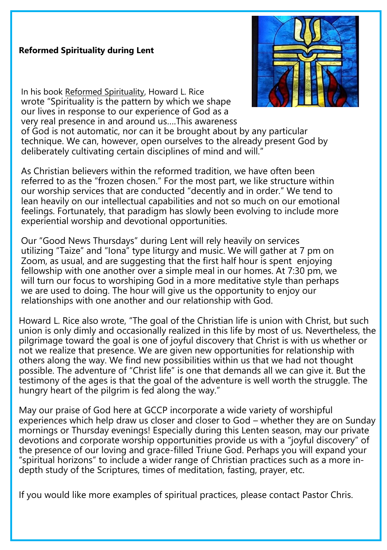#### **Reformed Spirituality during Lent**



In his book Reformed Spirituality, Howard L. Rice wrote "Spirituality is the pattern by which we shape our lives in response to our experience of God as a very real presence in and around us….This awareness

of God is not automatic, nor can it be brought about by any particular technique. We can, however, open ourselves to the already present God by deliberately cultivating certain disciplines of mind and will."

As Christian believers within the reformed tradition, we have often been referred to as the "frozen chosen." For the most part, we like structure within our worship services that are conducted "decently and in order." We tend to lean heavily on our intellectual capabilities and not so much on our emotional feelings. Fortunately, that paradigm has slowly been evolving to include more experiential worship and devotional opportunities.

Our "Good News Thursdays" during Lent will rely heavily on services utilizing "Taize" and "Iona" type liturgy and music. We will gather at 7 pm on Zoom, as usual, and are suggesting that the first half hour is spent enjoying fellowship with one another over a simple meal in our homes. At 7:30 pm, we will turn our focus to worshiping God in a more meditative style than perhaps we are used to doing. The hour will give us the opportunity to enjoy our relationships with one another and our relationship with God.

Howard L. Rice also wrote, "The goal of the Christian life is union with Christ, but such union is only dimly and occasionally realized in this life by most of us. Nevertheless, the pilgrimage toward the goal is one of joyful discovery that Christ is with us whether or not we realize that presence. We are given new opportunities for relationship with others along the way. We find new possibilities within us that we had not thought possible. The adventure of "Christ life" is one that demands all we can give it. But the testimony of the ages is that the goal of the adventure is well worth the struggle. The hungry heart of the pilgrim is fed along the way."

May our praise of God here at GCCP incorporate a wide variety of worshipful experiences which help draw us closer and closer to God – whether they are on Sunday mornings or Thursday evenings! Especially during this Lenten season, may our private devotions and corporate worship opportunities provide us with a "joyful discovery" of the presence of our loving and grace-filled Triune God. Perhaps you will expand your "spiritual horizons" to include a wider range of Christian practices such as a more indepth study of the Scriptures, times of meditation, fasting, prayer, etc.

If you would like more examples of spiritual practices, please contact Pastor Chris.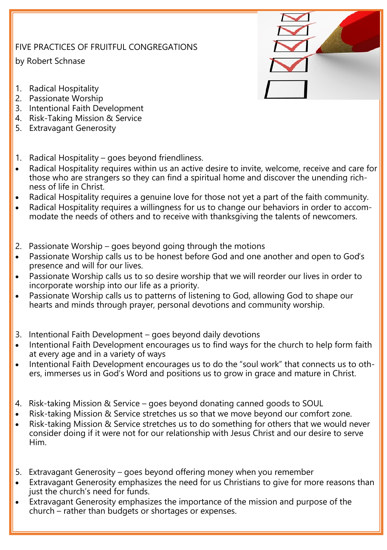## FIVE PRACTICES OF FRUITFUL CONGREGATIONS

by Robert Schnase

- 1. Radical Hospitality
- 2. Passionate Worship
- 3. Intentional Faith Development
- 4. Risk-Taking Mission & Service
- 5. Extravagant Generosity
- 1. Radical Hospitality goes beyond friendliness.
- Radical Hospitality requires within us an active desire to invite, welcome, receive and care for those who are strangers so they can find a spiritual home and discover the unending richness of life in Christ.
- Radical Hospitality requires a genuine love for those not yet a part of the faith community.
- Radical Hospitality requires a willingness for us to change our behaviors in order to accommodate the needs of others and to receive with thanksgiving the talents of newcomers.
- 2. Passionate Worship goes beyond going through the motions
- Passionate Worship calls us to be honest before God and one another and open to God's presence and will for our lives.
- Passionate Worship calls us to so desire worship that we will reorder our lives in order to incorporate worship into our life as a priority.
- Passionate Worship calls us to patterns of listening to God, allowing God to shape our hearts and minds through prayer, personal devotions and community worship.
- 3. Intentional Faith Development goes beyond daily devotions
- Intentional Faith Development encourages us to find ways for the church to help form faith at every age and in a variety of ways
- Intentional Faith Development encourages us to do the "soul work" that connects us to others, immerses us in God's Word and positions us to grow in grace and mature in Christ.
- 4. Risk-taking Mission & Service goes beyond donating canned goods to SOUL
- Risk-taking Mission & Service stretches us so that we move beyond our comfort zone.
- Risk-taking Mission & Service stretches us to do something for others that we would never consider doing if it were not for our relationship with Jesus Christ and our desire to serve Him.
- 5. Extravagant Generosity goes beyond offering money when you remember
- Extravagant Generosity emphasizes the need for us Christians to give for more reasons than just the church's need for funds.
- Extravagant Generosity emphasizes the importance of the mission and purpose of the church – rather than budgets or shortages or expenses.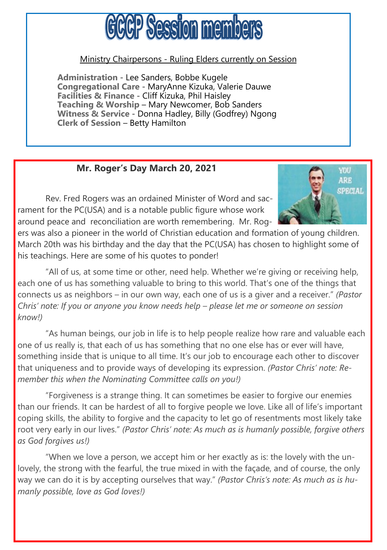# GCCP Session members

#### Ministry Chairpersons - Ruling Elders currently on Session

**Administration** - Lee Sanders, Bobbe Kugele **Congregational Care** - MaryAnne Kizuka, Valerie Dauwe **Facilities & Finance** - Cliff Kizuka, Phil Haisley **Teaching & Worship** – Mary Newcomer, Bob Sanders **Witness & Service** - Donna Hadley, Billy (Godfrey) Ngong **Clerk of Session** – Betty Hamilton

## **Mr. Roger's Day March 20, 2021**

Rev. Fred Rogers was an ordained Minister of Word and sacrament for the PC(USA) and is a notable public figure whose work around peace and reconciliation are worth remembering. Mr. Rog-



ers was also a pioneer in the world of Christian education and formation of young children. March 20th was his birthday and the day that the PC(USA) has chosen to highlight some of his teachings. Here are some of his quotes to ponder!

"All of us, at some time or other, need help. Whether we're giving or receiving help, each one of us has something valuable to bring to this world. That's one of the things that connects us as neighbors – in our own way, each one of us is a giver and a receiver." *(Pastor Chris' note: If you or anyone you know needs help – please let me or someone on session know!)*

"As human beings, our job in life is to help people realize how rare and valuable each one of us really is, that each of us has something that no one else has or ever will have, something inside that is unique to all time. It's our job to encourage each other to discover that uniqueness and to provide ways of developing its expression. *(Pastor Chris' note: Remember this when the Nominating Committee calls on you!)*

"Forgiveness is a strange thing. It can sometimes be easier to forgive our enemies than our friends. It can be hardest of all to forgive people we love. Like all of life's important coping skills, the ability to forgive and the capacity to let go of resentments most likely take root very early in our lives." *(Pastor Chris' note: As much as is humanly possible, forgive others as God forgives us!)*

"When we love a person, we accept him or her exactly as is: the lovely with the unlovely, the strong with the fearful, the true mixed in with the façade, and of course, the only way we can do it is by accepting ourselves that way." *(Pastor Chris's note: As much as is humanly possible, love as God loves!)*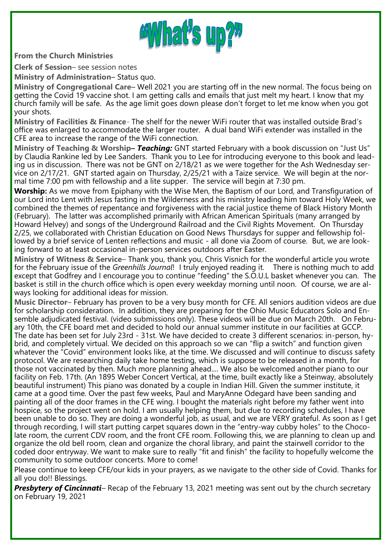

**From the Church Ministries**

**Clerk of Session**– see session notes

**Ministry of Administration**– Status quo.

**Ministry of Congregational Care**– Well 2021 you are starting off in the new normal. The focus being on getting the Covid 19 vaccine shot. I am getting calls and emails that just melt my heart. I know that my church family will be safe. As the age limit goes down please don't forget to let me know when you got your shots.

**Ministry of Facilities & Finance**- The shelf for the newer WiFi router that was installed outside Brad's office was enlarged to accommodate the larger router. A dual band WiFi extender was installed in the CFE area to increase the range of the WiFi connection.

**Ministry of Teaching & Worship–** *Teaching:* GNT started February with a book discussion on "Just Us" by Claudia Rankine led by Lee Sanders. Thank you to Lee for introducing everyone to this book and leading us in discussion. There was not be GNT on 2/18/21 as we were together for the Ash Wednesday service on 2/17/21. GNT started again on Thursday, 2/25/21 with a Taize service. We will begin at the normal time 7:00 pm with fellowship and a lite supper. The service will begin at 7:30 pm.

**Worship:** As we move from Epiphany with the Wise Men, the Baptism of our Lord, and Transfiguration of our Lord into Lent with Jesus fasting in the Wilderness and his ministry leading him toward Holy Week, we combined the themes of repentance and forgiveness with the racial justice theme of Black History Month (February). The latter was accomplished primarily with African American Spirituals (many arranged by Howard Helvey) and songs of the Underground Railroad and the Civil Rights Movement. On Thursday 2/25, we collaborated with Christian Education on Good News Thursdays for supper and fellowship followed by a brief service of Lenten reflections and music - all done via Zoom of course. But, we are looking forward to at least occasional in-person services outdoors after Easter.

**Ministry of Witness & Service**– Thank you, thank you, Chris Visnich for the wonderful article you wrote for the February issue of the *Greenhills Journal*! I truly enjoyed reading it. There is nothing much to add except that Godfrey and I encourage you to continue "feeding" the S.O.U.L basket whenever you can. The basket is still in the church office which is open every weekday morning until noon. Of course, we are always looking for additional ideas for mission.

**Music Director**– February has proven to be a very busy month for CFE. All seniors audition videos are due for scholarship consideration. In addition, they are preparing for the Ohio Music Educators Solo and Ensemble adjudicated festival. (video submissions only). These videos will be due on March 20th. On February 10th, the CFE board met and decided to hold our annual summer institute in our facilities at GCCP. The date has been set for July 23rd - 31st. We have decided to create 3 different scenarios: in-person, hybrid, and completely virtual. We decided on this approach so we can "flip a switch" and function given whatever the "Covid" environment looks like, at the time. We discussed and will continue to discuss safety protocol. We are researching daily take home testing, which is suppose to be released in a month, for those not vaccinated by then. Much more planning ahead.... We also be welcomed another piano to our facility on Feb. 17th. (An 1895 Weber Concert Vertical, at the time, built exactly like a Steinway, absolutely beautiful instrument) This piano was donated by a couple in Indian Hill. Given the summer institute, it came at a good time. Over the past few weeks, Paul and MaryAnne Odegard have been sanding and painting all of the door frames in the CFE wing. I bought the materials right before my father went into hospice, so the project went on hold. I am usually helping them, but due to recording schedules, I have been unable to do so. They are doing a wonderful job, as usual, and we are VERY grateful. As soon as I get through recording, I will start putting carpet squares down in the "entry-way cubby holes" to the Chocolate room, the current CDV room, and the front CFE room. Following this, we are planning to clean up and organize the old bell room, clean and organize the choral library, and paint the stairwell corridor to the coded door entryway. We want to make sure to really "fit and finish" the facility to hopefully welcome the community to some outdoor concerts. More to come!

Please continue to keep CFE/our kids in your prayers, as we navigate to the other side of Covid. Thanks for all you do!! Blessings.

*Presbytery of Cincinnati–* Recap of the February 13, 2021 meeting was sent out by the church secretary on February 19, 2021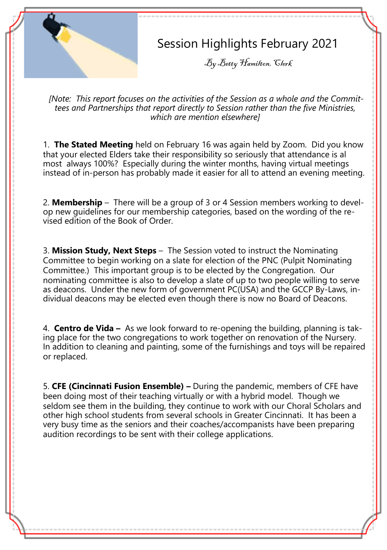# Session Highlights February 2021

By Betty Hamilton, Clerk

*[Note: This report focuses on the activities of the Session as a whole and the Committees and Partnerships that report directly to Session rather than the five Ministries, which are mention elsewhere]*

1. **The Stated Meeting** held on February 16 was again held by Zoom. Did you know that your elected Elders take their responsibility so seriously that attendance is al most always 100%? Especially during the winter months, having virtual meetings instead of in-person has probably made it easier for all to attend an evening meeting.

2. **Membership** – There will be a group of 3 or 4 Session members working to develop new guidelines for our membership categories, based on the wording of the revised edition of the Book of Order.

3. **Mission Study, Next Steps** – The Session voted to instruct the Nominating Committee to begin working on a slate for election of the PNC (Pulpit Nominating Committee.) This important group is to be elected by the Congregation. Our nominating committee is also to develop a slate of up to two people willing to serve as deacons. Under the new form of government PC(USA) and the GCCP By-Laws, individual deacons may be elected even though there is now no Board of Deacons.

4. **Centro de Vida –** As we look forward to re-opening the building, planning is taking place for the two congregations to work together on renovation of the Nursery. In addition to cleaning and painting, some of the furnishings and toys will be repaired or replaced.

5. **CFE (Cincinnati Fusion Ensemble) –** During the pandemic, members of CFE have been doing most of their teaching virtually or with a hybrid model. Though we seldom see them in the building, they continue to work with our Choral Scholars and other high school students from several schools in Greater Cincinnati. It has been a very busy time as the seniors and their coaches/accompanists have been preparing audition recordings to be sent with their college applications.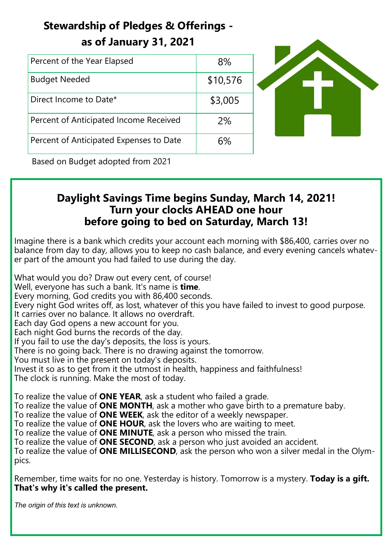# **Stewardship of Pledges & Offerings as of January 31, 2021**

| Percent of the Year Elapsed             | 8%       |  |
|-----------------------------------------|----------|--|
| <b>Budget Needed</b>                    | \$10,576 |  |
| Direct Income to Date*                  | \$3,005  |  |
| Percent of Anticipated Income Received  | 2%       |  |
| Percent of Anticipated Expenses to Date | 6%       |  |

Based on Budget adopted from 2021

# **Daylight Savings Time begins Sunday, March 14, 2021! Turn your clocks AHEAD one hour before going to bed on Saturday, March 13!**

Imagine there is a bank which credits your account each morning with \$86,400, carries over no balance from day to day, allows you to keep no cash balance, and every evening cancels whatever part of the amount you had failed to use during the day.

What would you do? Draw out every cent, of course! Well, everyone has such a bank. It's name is **time**. Every morning, God credits you with 86,400 seconds. Every night God writes off, as lost, whatever of this you have failed to invest to good purpose. It carries over no balance. It allows no overdraft. Each day God opens a new account for you. Each night God burns the records of the day. If you fail to use the day's deposits, the loss is yours. There is no going back. There is no drawing against the tomorrow. You must live in the present on today's deposits. Invest it so as to get from it the utmost in health, happiness and faithfulness! The clock is running. Make the most of today.

To realize the value of **ONE YEAR**, ask a student who failed a grade. To realize the value of **ONE MONTH**, ask a mother who gave birth to a premature baby. To realize the value of **ONE WEEK**, ask the editor of a weekly newspaper. To realize the value of **ONE HOUR**, ask the lovers who are waiting to meet. To realize the value of **ONE MINUTE**, ask a person who missed the train. To realize the value of **ONE SECOND**, ask a person who just avoided an accident. To realize the value of **ONE MILLISECOND**, ask the person who won a silver medal in the Olympics.

Remember, time waits for no one. Yesterday is history. Tomorrow is a mystery. **Today is a gift. That's why it's called the present.**

*The origin of this text is unknown.*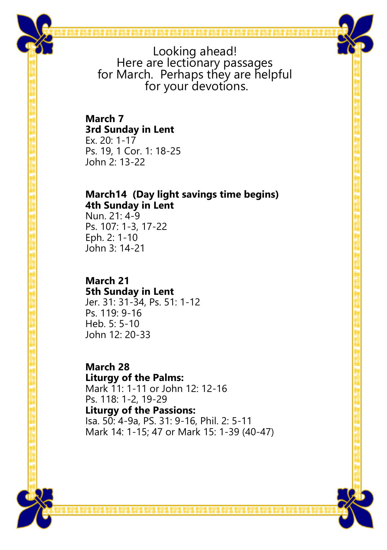

Looking ahead! Here are lectionary passages for March. Perhaps they are helpful for your devotions.

## **March 7 3rd Sunday in Lent** Ex. 20: 1-17

Ps. 19, 1 Cor. 1: 18-25 John 2: 13-22

## **March14 (Day light savings time begins) 4th Sunday in Lent**

Nun. 21: 4-9 Ps. 107: 1-3, 17-22 Eph. 2: 1-10 John 3: 14-21

# **March 21**

**5th Sunday in Lent** Jer. 31: 31-34, Ps. 51: 1-12 Ps. 119: 9-16 Heb. 5: 5-10 John 12: 20-33

#### **March 28 Liturgy of the Palms:**

Mark 11: 1-11 or John 12: 12-16 Ps. 118: 1-2, 19-29 **Liturgy of the Passions:** Isa. 50: 4-9a, PS. 31: 9-16, Phil. 2: 5-11 Mark 14: 1-15; 47 or Mark 15: 1-39 (40-47)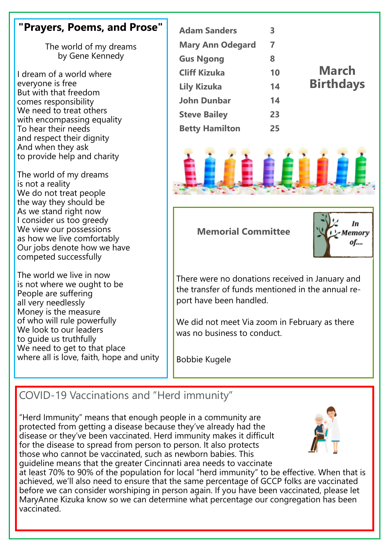# **"Prayers, Poems, and Prose"**

The world of my dreams by Gene Kennedy

I dream of a world where everyone is free But with that freedom comes responsibility We need to treat others with encompassing equality To hear their needs and respect their dignity And when they ask to provide help and charity

The world of my dreams is not a reality We do not treat people the way they should be As we stand right now I consider us too greedy We view our possessions as how we live comfortably Our jobs denote how we have competed successfully

The world we live in now is not where we ought to be People are suffering all very needlessly Money is the measure of who will rule powerfully We look to our leaders to guide us truthfully We need to get to that place where all is love, faith, hope and unity

| <b>Adam Sanders</b>     | 3  |                  |
|-------------------------|----|------------------|
| <b>Mary Ann Odegard</b> | 7  |                  |
| <b>Gus Ngong</b>        | 8  |                  |
| <b>Cliff Kizuka</b>     | 10 | <b>March</b>     |
| <b>Lily Kizuka</b>      | 14 | <b>Birthdays</b> |
| <b>John Dunbar</b>      | 14 |                  |
| <b>Steve Bailey</b>     | 23 |                  |
| <b>Betty Hamilton</b>   | 25 |                  |



#### **Memorial Committee**



There were no donations received in January and the transfer of funds mentioned in the annual report have been handled.

We did not meet Via zoom in February as there was no business to conduct.

Bobbie Kugele

# COVID-19 Vaccinations and "Herd immunity"

"Herd Immunity" means that enough people in a community are protected from getting a disease because they've already had the disease or they've been vaccinated. Herd immunity makes it difficult for the disease to spread from person to person. It also protects those who cannot be vaccinated, such as newborn babies. This guideline means that the greater Cincinnati area needs to vaccinate



at least 70% to 90% of the population for local "herd immunity" to be effective. When that is achieved, we'll also need to ensure that the same percentage of GCCP folks are vaccinated before we can consider worshiping in person again. If you have been vaccinated, please let MaryAnne Kizuka know so we can determine what percentage our congregation has been vaccinated.